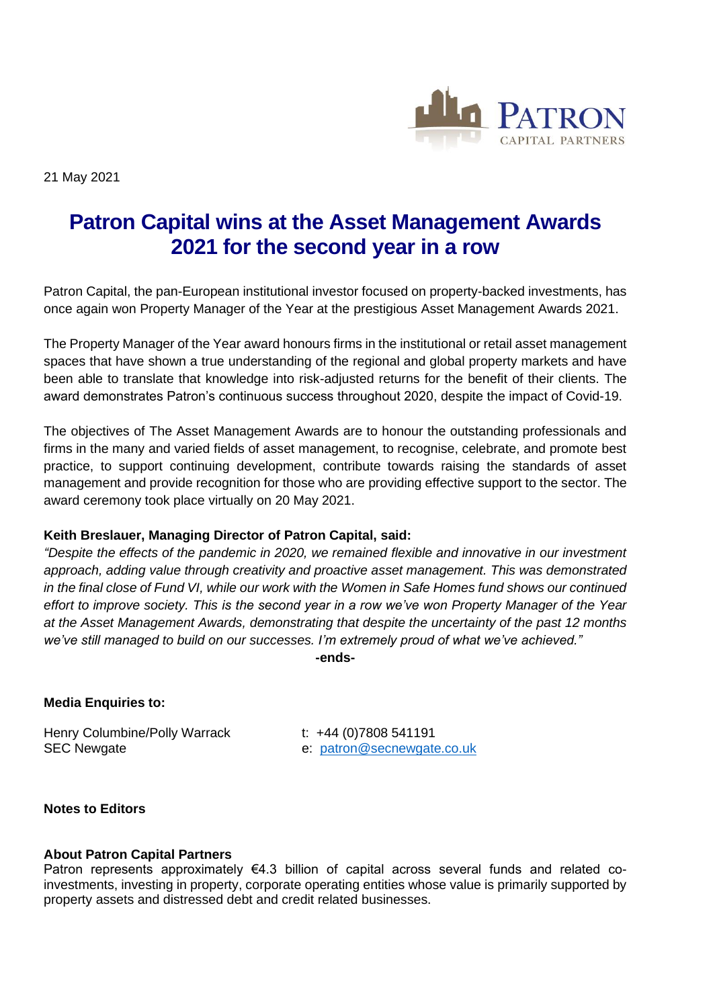

21 May 2021

# **Patron Capital wins at the Asset Management Awards 2021 for the second year in a row**

Patron Capital, the pan-European institutional investor focused on property-backed investments, has once again won Property Manager of the Year at the prestigious Asset Management Awards 2021.

The Property Manager of the Year award honours firms in the institutional or retail asset management spaces that have shown a true understanding of the regional and global property markets and have been able to translate that knowledge into risk-adjusted returns for the benefit of their clients. The award demonstrates Patron's continuous success throughout 2020, despite the impact of Covid-19.

The objectives of The Asset Management Awards are to honour the outstanding professionals and firms in the many and varied fields of asset management, to recognise, celebrate, and promote best practice, to support continuing development, contribute towards raising the standards of asset management and provide recognition for those who are providing effective support to the sector. The award ceremony took place virtually on 20 May 2021.

## **Keith Breslauer, Managing Director of Patron Capital, said:**

*"Despite the effects of the pandemic in 2020, we remained flexible and innovative in our investment approach, adding value through creativity and proactive asset management. This was demonstrated in the final close of Fund VI, while our work with the Women in Safe Homes fund shows our continued effort to improve society. This is the second year in a row we've won Property Manager of the Year at the Asset Management Awards, demonstrating that despite the uncertainty of the past 12 months we've still managed to build on our successes. I'm extremely proud of what we've achieved."*

**-ends-**

# **Media Enquiries to:**

Henry Columbine/Polly Warrack t: +44 (0)7808 541191 SEC Newgate e: [patron@secnewgate.co.uk](mailto:patron@secnewgate.co.uk)

#### **Notes to Editors**

## **About Patron Capital Partners**

Patron represents approximately  $\epsilon$ 4.3 billion of capital across several funds and related coinvestments, investing in property, corporate operating entities whose value is primarily supported by property assets and distressed debt and credit related businesses.